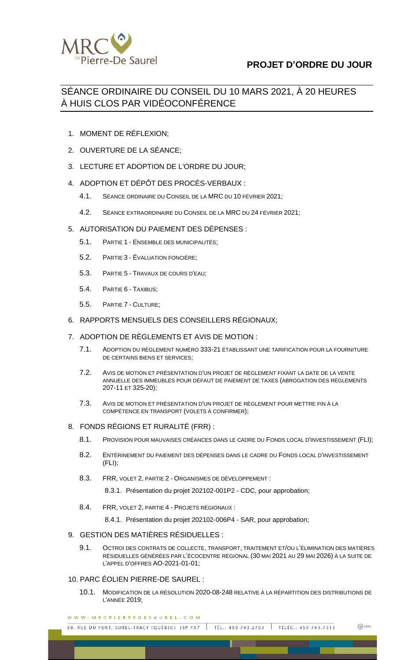

# **PROJET D'ORDRE DU JOUR**

# SÉANCE ORDINAIRE DU CONSEIL DU 10 MARS 2021, À 20 HEURES À HUIS CLOS PAR VIDÉOCONFÉRENCE

- 1. MOMENT DE RÉFLEXION;
- 2. OUVERTURE DE LA SÉANCE;
- 3. LECTURE ET ADOPTION DE L'ORDRE DU JOUR;
- 4. ADOPTION ET DÉPÔT DES PROCÈS-VERBAUX :
	- 4.1. SÉANCE ORDINAIRE DU CONSEIL DE LA MRC DU 10 FÉVRIER 2021;
	- 4.2. SÉANCE EXTRAORDINAIRE DU CONSEIL DE LA MRC DU 24 FÉVRIER 2021;
- 5. AUTORISATION DU PAIEMENT DES DÉPENSES :
	- 5.1. PARTIE 1 ENSEMBLE DES MUNICIPALITÉS;
	- 5.2. PARTIE 3 ÉVALUATION FONCIÈRE;
	- 5.3. PARTIE 5 TRAVAUX DE COURS D'EAU;
	- 5.4. PARTIE 6 TAXIBUS;
	- 5.5. PARTIE 7 CULTURE;
- 6. RAPPORTS MENSUELS DES CONSEILLERS RÉGIONAUX;

## 7. ADOPTION DE RÈGLEMENTS ET AVIS DE MOTION :

- 7.1. ADOPTION DU RÈGLEMENT NUMÉRO 333-21 ÉTABLISSANT UNE TARIFICATION POUR LA FOURNITURE DE CERTAINS BIENS ET SERVICES;
- 7.2. AVIS DE MOTION ET PRÉSENTATION D'UN PROJET DE RÈGLEMENT FIXANT LA DATE DE LA VENTE ANNUELLE DES IMMEUBLES POUR DÉFAUT DE PAIEMENT DE TAXES (ABROGATION DES RÈGLEMENTS 207-11 ET 325-20);
- 7.3. AVIS DE MOTION ET PRÉSENTATION D'UN PROJET DE RÈGLEMENT POUR METTRE FIN À LA COMPÉTENCE EN TRANSPORT (VOLETS À CONFIRMER);
- 8. FONDS RÉGIONS ET RURALITÉ (FRR) :
	- 8.1. PROVISION POUR MAUVAISES CRÉANCES DANS LE CADRE DU FONDS LOCAL D'INVESTISSEMENT (FLI);
	- 8.2. ENTÉRINEMENT DU PAIEMENT DES DÉPENSES DANS LE CADRE DU FONDS LOCAL D'INVESTISSEMENT (FLI);
	- 8.3. FRR, VOLET 2, PARTIE 2 ORGANISMES DE DÉVELOPPEMENT :

8.3.1. Présentation du projet 202102-001P2 - CDC, pour approbation;

8.4. FRR, VOLET 2, PARTIE 4 - PROJETS RÉGIONAUX :

8.4.1. Présentation du projet 202102-006P4 - SAR, pour approbation;

- 9. GESTION DES MATIÈRES RÉSIDUELLES :
	- 9.1. OCTROI DES CONTRATS DE COLLECTE, TRANSPORT, TRAITEMENT ET/OU L'ÉLIMINATION DES MATIÈRES RÉSIDUELLES GÉNÉRÉES PAR L'ÉCOCENTRE RÉGIONAL (30 MAI 2021 AU 29 MAI 2026) À LA SUITE DE L'APPEL D'OFFRES AO-2021-01-01;
- 10. PARC ÉOLIEN PIERRE-DE SAUREL :
	- 10.1. MODIFICATION DE LA RÉSOLUTION 2020-08-248 RELATIVE À LA RÉPARTITION DES DISTRIBUTIONS DE L'ANNÉE 2019;

WWW.MRCPIERREDESAUREL.COM

50, RUE DU FORT, SOREL-TRACY (QUÉBEC) J3P 7X7 TÉL.: 450 743.2703 | TÉLÉC.: 450 743.7313